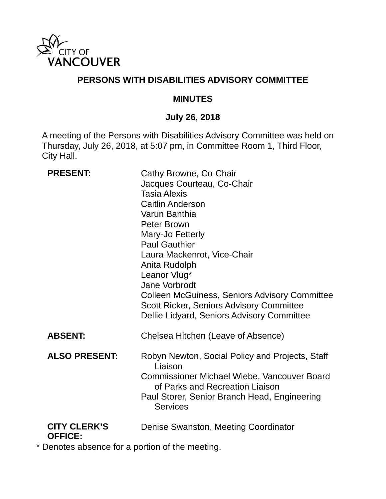

### **PERSONS WITH DISABILITIES ADVISORY COMMITTEE**

#### **MINUTES**

### **July 26, 2018**

A meeting of the Persons with Disabilities Advisory Committee was held on Thursday, July 26, 2018, at 5:07 pm, in Committee Room 1, Third Floor, City Hall.

| <b>PRESENT:</b>      | Cathy Browne, Co-Chair<br>Jacques Courteau, Co-Chair<br><b>Tasia Alexis</b><br><b>Caitlin Anderson</b><br>Varun Banthia<br>Peter Brown<br>Mary-Jo Fetterly<br><b>Paul Gauthier</b><br>Laura Mackenrot, Vice-Chair<br>Anita Rudolph<br>Leanor Vlug*<br><b>Jane Vorbrodt</b><br><b>Colleen McGuiness, Seniors Advisory Committee</b><br><b>Scott Ricker, Seniors Advisory Committee</b><br>Dellie Lidyard, Seniors Advisory Committee |
|----------------------|-------------------------------------------------------------------------------------------------------------------------------------------------------------------------------------------------------------------------------------------------------------------------------------------------------------------------------------------------------------------------------------------------------------------------------------|
| <b>ABSENT:</b>       | Chelsea Hitchen (Leave of Absence)                                                                                                                                                                                                                                                                                                                                                                                                  |
| <b>ALSO PRESENT:</b> | Robyn Newton, Social Policy and Projects, Staff<br>Liaison<br><b>Commissioner Michael Wiebe, Vancouver Board</b><br>of Parks and Recreation Liaison<br>Paul Storer, Senior Branch Head, Engineering<br><b>Services</b>                                                                                                                                                                                                              |
| <b>CITY CLERK'S</b>  | Denise Swanston, Meeting Coordinator                                                                                                                                                                                                                                                                                                                                                                                                |

### **OFFICE:**

\* Denotes absence for a portion of the meeting.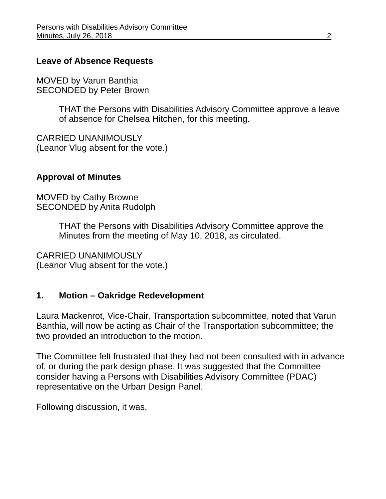#### **Leave of Absence Requests**

MOVED by Varun Banthia SECONDED by Peter Brown

> THAT the Persons with Disabilities Advisory Committee approve a leave of absence for Chelsea Hitchen, for this meeting.

CARRIED UNANIMOUSLY (Leanor Vlug absent for the vote.)

#### **Approval of Minutes**

MOVED by Cathy Browne SECONDED by Anita Rudolph

> THAT the Persons with Disabilities Advisory Committee approve the Minutes from the meeting of May 10, 2018, as circulated.

CARRIED UNANIMOUSLY (Leanor Vlug absent for the vote.)

### **1. Motion – Oakridge Redevelopment**

Laura Mackenrot, Vice-Chair, Transportation subcommittee, noted that Varun Banthia, will now be acting as Chair of the Transportation subcommittee; the two provided an introduction to the motion.

The Committee felt frustrated that they had not been consulted with in advance of, or during the park design phase. It was suggested that the Committee consider having a Persons with Disabilities Advisory Committee (PDAC) representative on the Urban Design Panel.

Following discussion, it was,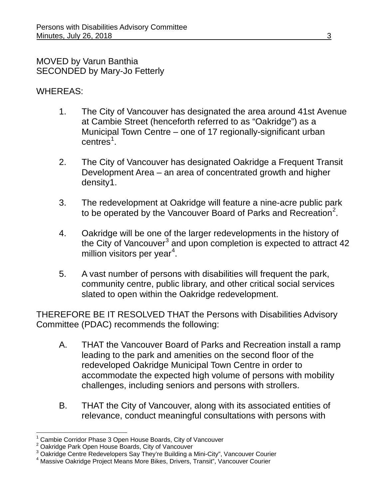MOVED by Varun Banthia SECONDED by Mary-Jo Fetterly

### WHEREAS:

- 1. The City of Vancouver has designated the area around 41st Avenue at Cambie Street (henceforth referred to as "Oakridge") as a Municipal Town Centre – one of 17 regionally-significant urban  $centres<sup>1</sup>$  $centres<sup>1</sup>$  $centres<sup>1</sup>$ .
- 2. The City of Vancouver has designated Oakridge a Frequent Transit Development Area – an area of concentrated growth and higher density1.
- 3. The redevelopment at Oakridge will feature a nine-acre public park to be operated by the Vancouver Board of Parks and Recreation<sup>[2](#page-2-1)</sup>.
- 4. Oakridge will be one of the larger redevelopments in the history of the City of Vancouver<sup>[3](#page-2-2)</sup> and upon completion is expected to attract  $42$ million visitors per year<sup>[4](#page-2-3)</sup>.
- 5. A vast number of persons with disabilities will frequent the park, community centre, public library, and other critical social services slated to open within the Oakridge redevelopment.

THEREFORE BE IT RESOLVED THAT the Persons with Disabilities Advisory Committee (PDAC) recommends the following:

- A. THAT the Vancouver Board of Parks and Recreation install a ramp leading to the park and amenities on the second floor of the redeveloped Oakridge Municipal Town Centre in order to accommodate the expected high volume of persons with mobility challenges, including seniors and persons with strollers.
- B. THAT the City of Vancouver, along with its associated entities of relevance, conduct meaningful consultations with persons with

 <sup>1</sup> Cambie Corridor Phase 3 Open House Boards, City of Vancouver

<span id="page-2-1"></span><span id="page-2-0"></span><sup>&</sup>lt;sup>2</sup> Oakridge Park Open House Boards, City of Vancouver<br><sup>3</sup> Oakridge Centre Redevelopers Say They're Building a Mini-City", Vancouver Courier

<span id="page-2-3"></span><span id="page-2-2"></span><sup>&</sup>lt;sup>4</sup> Massive Oakridge Project Means More Bikes, Drivers, Transit", Vancouver Courier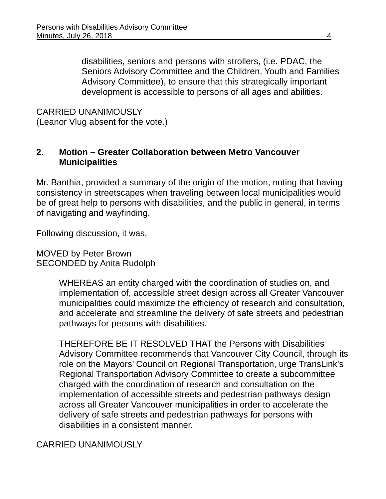disabilities, seniors and persons with strollers, (i.e. PDAC, the Seniors Advisory Committee and the Children, Youth and Families Advisory Committee), to ensure that this strategically important development is accessible to persons of all ages and abilities.

CARRIED UNANIMOUSLY (Leanor Vlug absent for the vote.)

### **2. Motion – Greater Collaboration between Metro Vancouver Municipalities**

Mr. Banthia, provided a summary of the origin of the motion, noting that having consistency in streetscapes when traveling between local municipalities would be of great help to persons with disabilities, and the public in general, in terms of navigating and wayfinding.

Following discussion, it was,

MOVED by Peter Brown SECONDED by Anita Rudolph

> WHEREAS an entity charged with the coordination of studies on, and implementation of, accessible street design across all Greater Vancouver municipalities could maximize the efficiency of research and consultation, and accelerate and streamline the delivery of safe streets and pedestrian pathways for persons with disabilities.

THEREFORE BE IT RESOLVED THAT the Persons with Disabilities Advisory Committee recommends that Vancouver City Council, through its role on the Mayors' Council on Regional Transportation, urge TransLink's Regional Transportation Advisory Committee to create a subcommittee charged with the coordination of research and consultation on the implementation of accessible streets and pedestrian pathways design across all Greater Vancouver municipalities in order to accelerate the delivery of safe streets and pedestrian pathways for persons with disabilities in a consistent manner.

CARRIED UNANIMOUSLY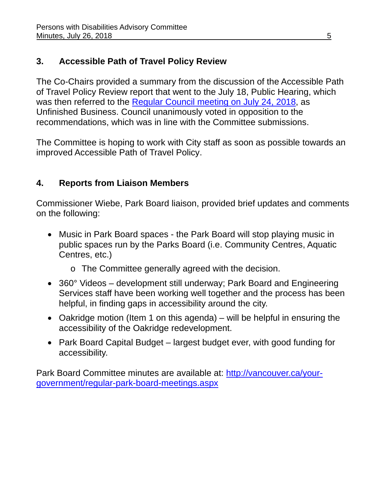# **3. Accessible Path of Travel Policy Review**

The Co-Chairs provided a summary from the discussion of the Accessible Path of Travel Policy Review report that went to the July 18, Public Hearing, which was then referred to the [Regular Council meeting on July 24, 2018,](https://council.vancouver.ca/20180724/documents/regu20180724min.pdf) as Unfinished Business. Council unanimously voted in opposition to the recommendations, which was in line with the Committee submissions.

The Committee is hoping to work with City staff as soon as possible towards an improved Accessible Path of Travel Policy.

## **4. Reports from Liaison Members**

Commissioner Wiebe, Park Board liaison, provided brief updates and comments on the following:

- Music in Park Board spaces the Park Board will stop playing music in public spaces run by the Parks Board (i.e. Community Centres, Aquatic Centres, etc.)
	- o The Committee generally agreed with the decision.
- 360° Videos development still underway; Park Board and Engineering Services staff have been working well together and the process has been helpful, in finding gaps in accessibility around the city.
- Oakridge motion (Item 1 on this agenda) will be helpful in ensuring the accessibility of the Oakridge redevelopment.
- Park Board Capital Budget largest budget ever, with good funding for accessibility.

Park Board Committee minutes are available at: [http://vancouver.ca/your](http://vancouver.ca/your-government/regular-park-board-meetings.aspx)[government/regular-park-board-meetings.aspx](http://vancouver.ca/your-government/regular-park-board-meetings.aspx)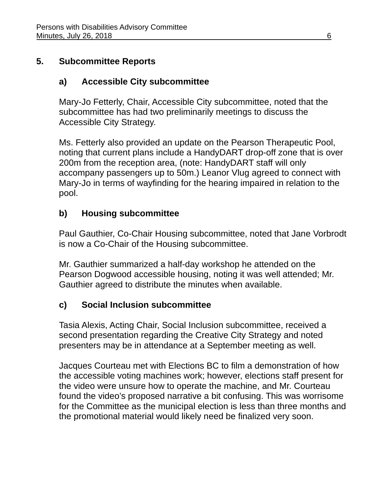# **5. Subcommittee Reports**

# **a) Accessible City subcommittee**

Mary-Jo Fetterly, Chair, Accessible City subcommittee, noted that the subcommittee has had two preliminarily meetings to discuss the Accessible City Strategy.

Ms. Fetterly also provided an update on the Pearson Therapeutic Pool, noting that current plans include a HandyDART drop-off zone that is over 200m from the reception area, (note: HandyDART staff will only accompany passengers up to 50m.) Leanor Vlug agreed to connect with Mary-Jo in terms of wayfinding for the hearing impaired in relation to the pool.

# **b) Housing subcommittee**

Paul Gauthier, Co-Chair Housing subcommittee, noted that Jane Vorbrodt is now a Co-Chair of the Housing subcommittee.

Mr. Gauthier summarized a half-day workshop he attended on the Pearson Dogwood accessible housing, noting it was well attended; Mr. Gauthier agreed to distribute the minutes when available.

# **c) Social Inclusion subcommittee**

Tasia Alexis, Acting Chair, Social Inclusion subcommittee, received a second presentation regarding the Creative City Strategy and noted presenters may be in attendance at a September meeting as well.

Jacques Courteau met with Elections BC to film a demonstration of how the accessible voting machines work; however, elections staff present for the video were unsure how to operate the machine, and Mr. Courteau found the video's proposed narrative a bit confusing. This was worrisome for the Committee as the municipal election is less than three months and the promotional material would likely need be finalized very soon.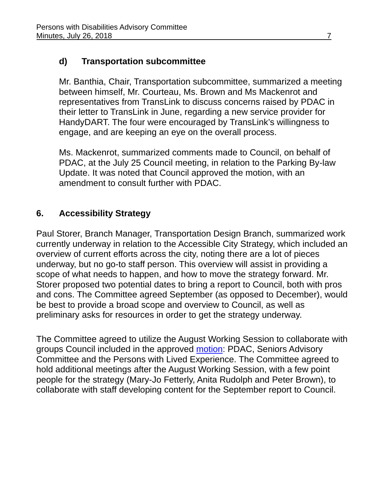# **d) Transportation subcommittee**

Mr. Banthia, Chair, Transportation subcommittee, summarized a meeting between himself, Mr. Courteau, Ms. Brown and Ms Mackenrot and representatives from TransLink to discuss concerns raised by PDAC in their letter to TransLink in June, regarding a new service provider for HandyDART. The four were encouraged by TransLink's willingness to engage, and are keeping an eye on the overall process.

Ms. Mackenrot, summarized comments made to Council, on behalf of PDAC, at the July 25 Council meeting, in relation to the Parking By-law Update. It was noted that Council approved the motion, with an amendment to consult further with PDAC.

## **6. Accessibility Strategy**

Paul Storer, Branch Manager, Transportation Design Branch, summarized work currently underway in relation to the Accessible City Strategy, which included an overview of current efforts across the city, noting there are a lot of pieces underway, but no go-to staff person. This overview will assist in providing a scope of what needs to happen, and how to move the strategy forward. Mr. Storer proposed two potential dates to bring a report to Council, both with pros and cons. The Committee agreed September (as opposed to December), would be best to provide a broad scope and overview to Council, as well as preliminary asks for resources in order to get the strategy underway.

The Committee agreed to utilize the August Working Session to collaborate with groups Council included in the approved [motion:](https://council.vancouver.ca/20180502/documents/cfsc20180502min.pdf) PDAC, Seniors Advisory Committee and the Persons with Lived Experience. The Committee agreed to hold additional meetings after the August Working Session, with a few point people for the strategy (Mary-Jo Fetterly, Anita Rudolph and Peter Brown), to collaborate with staff developing content for the September report to Council.